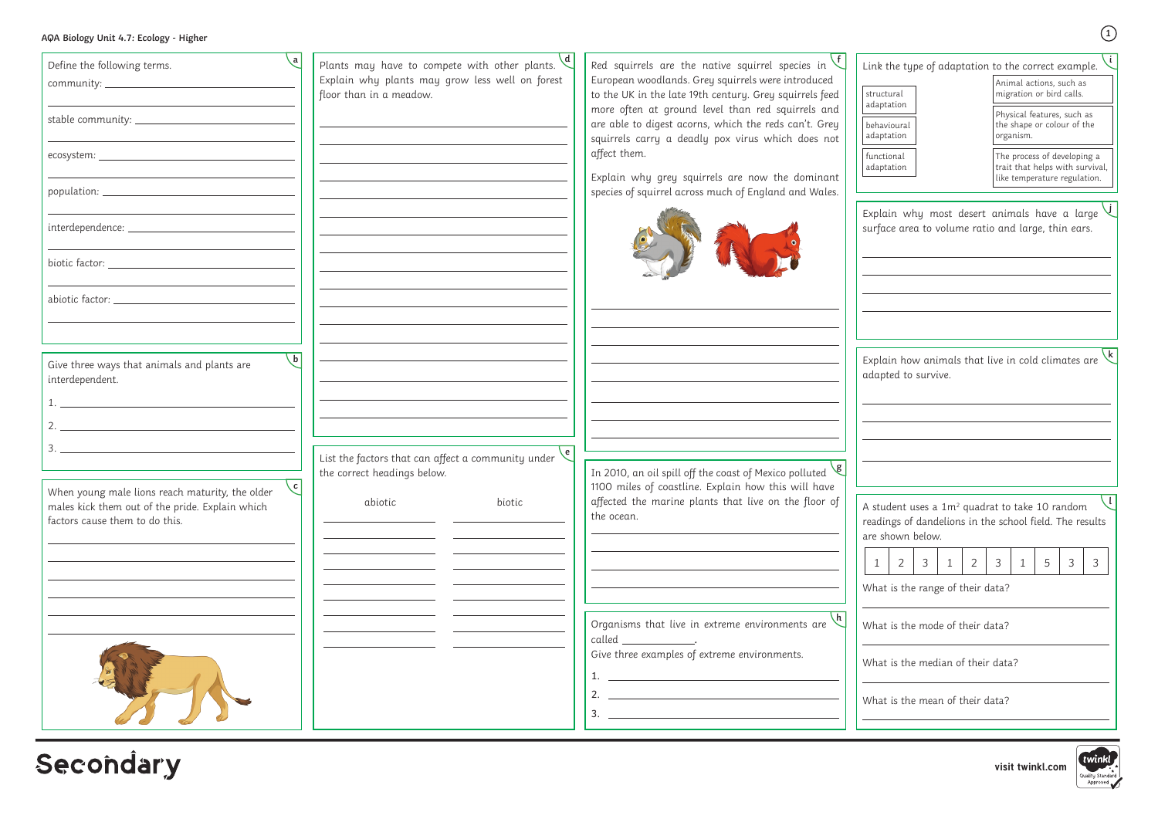|  |  |  | AQA Biology Unit 4.7: Ecology - Higher |  |
|--|--|--|----------------------------------------|--|
|--|--|--|----------------------------------------|--|

**visit twinkl.com**

| Define the following terms.                                                                                                          | Plants may have to compete with other plants.                                                   | Red squirrels are the native squirrel species in                                                                                                                                                                                                                                                                                                                                                                                                                                                                                                                                                                 |
|--------------------------------------------------------------------------------------------------------------------------------------|-------------------------------------------------------------------------------------------------|------------------------------------------------------------------------------------------------------------------------------------------------------------------------------------------------------------------------------------------------------------------------------------------------------------------------------------------------------------------------------------------------------------------------------------------------------------------------------------------------------------------------------------------------------------------------------------------------------------------|
|                                                                                                                                      | Explain why plants may grow less well on forest<br>floor than in a meadow.                      | European woodlands. Grey squirrels were introduced<br>to the UK in the late 19th century. Grey squirrels feed                                                                                                                                                                                                                                                                                                                                                                                                                                                                                                    |
|                                                                                                                                      |                                                                                                 | more often at ground level than red squirrels and<br>are able to digest acorns, which the reds can't. Grey<br>squirrels carry a deadly pox virus which does not                                                                                                                                                                                                                                                                                                                                                                                                                                                  |
|                                                                                                                                      |                                                                                                 | affect them.                                                                                                                                                                                                                                                                                                                                                                                                                                                                                                                                                                                                     |
|                                                                                                                                      |                                                                                                 | Explain why grey squirrels are now the dominant<br>species of squirrel across much of England and Wales.                                                                                                                                                                                                                                                                                                                                                                                                                                                                                                         |
|                                                                                                                                      |                                                                                                 |                                                                                                                                                                                                                                                                                                                                                                                                                                                                                                                                                                                                                  |
|                                                                                                                                      |                                                                                                 |                                                                                                                                                                                                                                                                                                                                                                                                                                                                                                                                                                                                                  |
|                                                                                                                                      |                                                                                                 |                                                                                                                                                                                                                                                                                                                                                                                                                                                                                                                                                                                                                  |
|                                                                                                                                      |                                                                                                 |                                                                                                                                                                                                                                                                                                                                                                                                                                                                                                                                                                                                                  |
| b<br>Give three ways that animals and plants are<br>interdependent.                                                                  |                                                                                                 |                                                                                                                                                                                                                                                                                                                                                                                                                                                                                                                                                                                                                  |
|                                                                                                                                      |                                                                                                 |                                                                                                                                                                                                                                                                                                                                                                                                                                                                                                                                                                                                                  |
| 3.                                                                                                                                   |                                                                                                 |                                                                                                                                                                                                                                                                                                                                                                                                                                                                                                                                                                                                                  |
|                                                                                                                                      | $\sqrt{e}$<br>List the factors that can affect a community under<br>the correct headings below. | In 2010, an oil spill off the coast of Mexico polluted $\sqrt{g}$                                                                                                                                                                                                                                                                                                                                                                                                                                                                                                                                                |
| When young male lions reach maturity, the older<br>males kick them out of the pride. Explain which<br>factors cause them to do this. | biotic<br>abiotic                                                                               | 1100 miles of coastline. Explain how this will have<br>affected the marine plants that live on the floor of<br>the ocean.                                                                                                                                                                                                                                                                                                                                                                                                                                                                                        |
|                                                                                                                                      |                                                                                                 |                                                                                                                                                                                                                                                                                                                                                                                                                                                                                                                                                                                                                  |
|                                                                                                                                      |                                                                                                 |                                                                                                                                                                                                                                                                                                                                                                                                                                                                                                                                                                                                                  |
|                                                                                                                                      |                                                                                                 | Organisms that live in extreme environments are                                                                                                                                                                                                                                                                                                                                                                                                                                                                                                                                                                  |
|                                                                                                                                      |                                                                                                 | $called ________.$                                                                                                                                                                                                                                                                                                                                                                                                                                                                                                                                                                                               |
|                                                                                                                                      |                                                                                                 | Give three examples of extreme environments.<br>1. $\overline{\phantom{a}}$ $\overline{\phantom{a}}$ $\overline{\phantom{a}}$ $\overline{\phantom{a}}$ $\overline{\phantom{a}}$ $\overline{\phantom{a}}$ $\overline{\phantom{a}}$ $\overline{\phantom{a}}$ $\overline{\phantom{a}}$ $\overline{\phantom{a}}$ $\overline{\phantom{a}}$ $\overline{\phantom{a}}$ $\overline{\phantom{a}}$ $\overline{\phantom{a}}$ $\overline{\phantom{a}}$ $\overline{\phantom{a}}$ $\overline{\phantom{a}}$ $\overline{\phantom{a}}$ $\$<br>2. $\overline{\phantom{a}}$<br><u> 1980 - Johann Stoff, fransk politik (d. 1980)</u> |
|                                                                                                                                      |                                                                                                 |                                                                                                                                                                                                                                                                                                                                                                                                                                                                                                                                                                                                                  |

Secondary

Explain why most desert animals have a large **j** surface area to volume ratio and large, thin ears.

|                           | Link the type of adaptation to the correct example.                                            |
|---------------------------|------------------------------------------------------------------------------------------------|
| structural<br>adaptation  | Animal actions, such as<br>migration or bird calls.                                            |
| behavioural<br>adaptation | Physical features, such as<br>the shape or colour of the<br>organism.                          |
| functional<br>adaptation  | The process of developing a<br>trait that helps with survival,<br>like temperature regulation. |

Explain how animals that live in cold climates are **k** adapted to survive.

A student uses a  $1m^2$  quadrat to take 10 random readings of dandelions in the school field. The results are shown below.  $\Box$ 

What is the range of their data?

What is the mode of their data?

What is the median of their data?

What is the mean of their data?



| $-$<br>×<br>- 2 |  |  |
|-----------------|--|--|
|-----------------|--|--|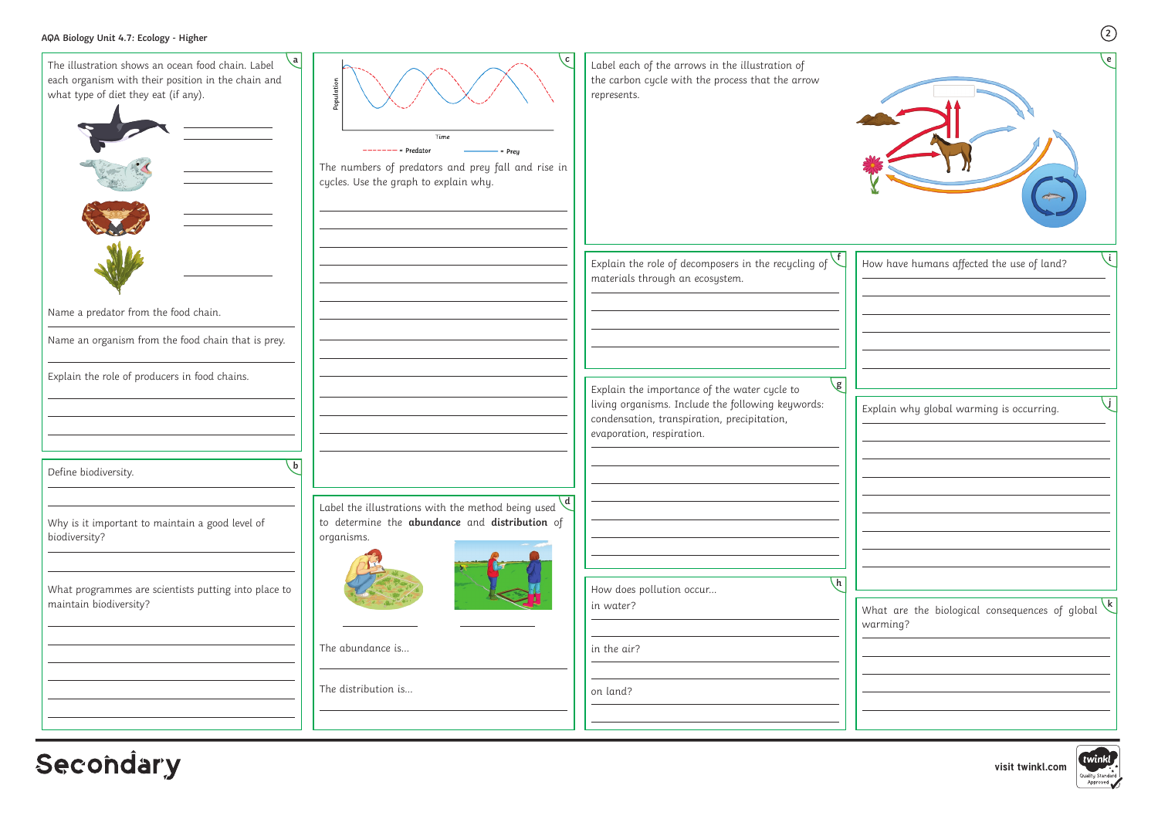**visit twinkl.com**

Quality Standard<br>Approved

| e                                                                                    |  |
|--------------------------------------------------------------------------------------|--|
| i<br>How have humans affected the use of land?                                       |  |
| Explain why global warming is occurring.                                             |  |
| $\mathsf{k}$<br>What are the biological consequences of global<br>warming?<br>twinkl |  |

| Explain the role of decomposers in the recycling of                                                                                                            |
|----------------------------------------------------------------------------------------------------------------------------------------------------------------|
|                                                                                                                                                                |
|                                                                                                                                                                |
| $\sqrt{g}$<br>Explain the importance of the water cycle to<br>living organisms. Include the following keywords:<br>condensation, transpiration, precipitation, |
|                                                                                                                                                                |
|                                                                                                                                                                |
| $\overline{h}$                                                                                                                                                 |
|                                                                                                                                                                |
|                                                                                                                                                                |
|                                                                                                                                                                |

**Secondary**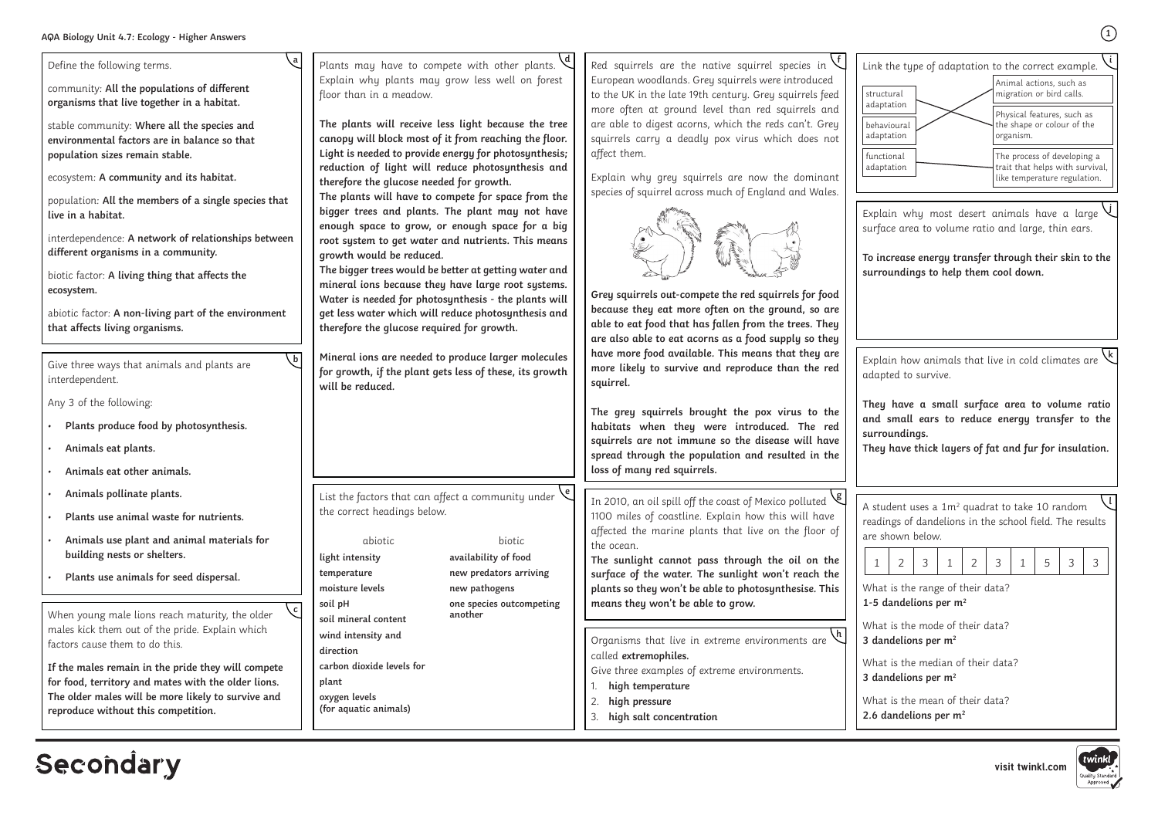**1**

| a<br>Define the following terms.<br>community: All the populations of different<br>organisms that live together in a habitat.<br>stable community: Where all the species and<br>environmental factors are in balance so that<br>population sizes remain stable.<br>ecosystem: A community and its habitat.<br>population: All the members of a single species that<br>live in a habitat.<br>interdependence: A network of relationships between<br>different organisms in a community.<br>biotic factor: A living thing that affects the<br>ecosystem.<br>abiotic factor: A non-living part of the environment<br>that affects living organisms.<br>Give three ways that animals and plants are<br>interdependent. | Plants may have to compete with other plants.<br>Explain why plants may grow less well on forest<br>floor than in a meadow.<br>The plants will receive less light because the tree<br>canopy will block most of it from reaching the floor.<br>Light is needed to provide energy for photosynthesis;<br>reduction of light will reduce photosynthesis and<br>therefore the glucose needed for growth.<br>The plants will have to compete for space from the<br>bigger trees and plants. The plant may not have<br>enough space to grow, or enough space for a big<br>root system to get water and nutrients. This means<br>growth would be reduced.<br>The bigger trees would be better at getting water and<br>mineral ions because they have large root systems.<br>Water is needed for photosynthesis - the plants will<br>get less water which will reduce photosynthesis and<br>therefore the glucose required for growth.<br>Mineral ions are needed to produce larger molecules<br>for growth, if the plant gets less of these, its growth<br>will be reduced. | Red squirrels are the native squirrel species in<br>European woodlands. Grey squirrels were introduced<br>to the UK in the late 19th century. Grey squirrels feed<br>more often at ground level than red squirrels and<br>are able to digest acorns, which the reds can't. Grey<br>squirrels carry a deadly pox virus which does not<br>affect them.<br>Explain why grey squirrels are now the dominant<br>species of squirrel across much of England and Wales.<br>Grey squirrels out-compete the red squirrels for food<br>because they eat more often on the ground, so are<br>able to eat food that has fallen from the trees. They<br>are also able to eat acorns as a food supply so they<br>have more food available. This means that they are<br>more likely to survive and reproduce than the red<br>squirrel. |  |  |
|--------------------------------------------------------------------------------------------------------------------------------------------------------------------------------------------------------------------------------------------------------------------------------------------------------------------------------------------------------------------------------------------------------------------------------------------------------------------------------------------------------------------------------------------------------------------------------------------------------------------------------------------------------------------------------------------------------------------|-----------------------------------------------------------------------------------------------------------------------------------------------------------------------------------------------------------------------------------------------------------------------------------------------------------------------------------------------------------------------------------------------------------------------------------------------------------------------------------------------------------------------------------------------------------------------------------------------------------------------------------------------------------------------------------------------------------------------------------------------------------------------------------------------------------------------------------------------------------------------------------------------------------------------------------------------------------------------------------------------------------------------------------------------------------------------|-------------------------------------------------------------------------------------------------------------------------------------------------------------------------------------------------------------------------------------------------------------------------------------------------------------------------------------------------------------------------------------------------------------------------------------------------------------------------------------------------------------------------------------------------------------------------------------------------------------------------------------------------------------------------------------------------------------------------------------------------------------------------------------------------------------------------|--|--|
| Any 3 of the following:<br>Plants produce food by photosynthesis.<br>Animals eat plants.<br>Animals eat other animals.                                                                                                                                                                                                                                                                                                                                                                                                                                                                                                                                                                                             |                                                                                                                                                                                                                                                                                                                                                                                                                                                                                                                                                                                                                                                                                                                                                                                                                                                                                                                                                                                                                                                                       | The grey squirrels brought the pox virus to the<br>habitats when they were introduced. The red<br>squirrels are not immune so the disease will have<br>spread through the population and resulted in the<br>loss of many red squirrels.                                                                                                                                                                                                                                                                                                                                                                                                                                                                                                                                                                                 |  |  |
| Animals pollinate plants.<br>Plants use animal waste for nutrients.<br>Animals use plant and animal materials for<br>building nests or shelters.<br>Plants use animals for seed dispersal.                                                                                                                                                                                                                                                                                                                                                                                                                                                                                                                         | $\sqrt{6}$<br>List the factors that can affect a community under<br>the correct headings below.<br>abiotic<br>biotic<br>availability of food<br>light intensity<br>new predators arriving<br>temperature<br>moisture levels<br>new pathogens                                                                                                                                                                                                                                                                                                                                                                                                                                                                                                                                                                                                                                                                                                                                                                                                                          | In 2010, an oil spill off the coast of Mexico polluted<br>1100 miles of coastline. Explain how this will have<br>affected the marine plants that live on the floor of<br>the ocean.<br>The sunlight cannot pass through the oil on the<br>surface of the water. The sunlight won't reach the<br>plants so they won't be able to photosynthesise. This                                                                                                                                                                                                                                                                                                                                                                                                                                                                   |  |  |
| $\mathbf{c}$<br>When young male lions reach maturity, the older<br>males kick them out of the pride. Explain which<br>factors cause them to do this.<br>If the males remain in the pride they will compete<br>for food, territory and mates with the older lions.<br>The older males will be more likely to survive and<br>reproduce without this competition.                                                                                                                                                                                                                                                                                                                                                     | soil pH<br>one species outcompeting<br>another<br>soil mineral content<br>wind intensity and<br>direction<br>carbon dioxide levels for<br>plant<br>oxygen levels<br>(for aquatic animals)                                                                                                                                                                                                                                                                                                                                                                                                                                                                                                                                                                                                                                                                                                                                                                                                                                                                             | means they won't be able to grow.<br>Organisms that live in extreme environments are<br>called extremophiles.<br>Give three examples of extreme environments.<br>high temperature<br>2.<br>high pressure<br>high salt concentration<br>3.                                                                                                                                                                                                                                                                                                                                                                                                                                                                                                                                                                               |  |  |

## Secondary

A student uses a  $1m^2$  quadrat to take 10 random readings of dandelions in the school field. The results are shown below. **l**

Explain why most desert animals have a large surface area to volume ratio and large, thin ears.

**To increase energy transfer through their skin to the surroundings to help them cool down.**

**j**

| Link the type of adaptation to the correct example. |                                                                                                |
|-----------------------------------------------------|------------------------------------------------------------------------------------------------|
| structural<br>adaptation                            | Animal actions, such as<br>migration or bird calls.                                            |
| behavioural<br>adaptation                           | Physical features, such as<br>the shape or colour of the<br>organism.                          |
| functional<br>adaptation                            | The process of developing a<br>trait that helps with survival,<br>like temperature regulation. |

Explain how animals that live in cold climates are adapted to survive. **k**

**They have a small surface area to volume ratio and small ears to reduce energy transfer to the surroundings.**

**They have thick layers of fat and fur for insulation.**

What is the range of their data? **1-5 dandelions per m2**

What is the mode of their data? **3 dandelions per m2**

What is the median of their data? **3 dandelions per m2**

What is the mean of their data? **2.6 dandelions per m2**



| ٠ |  |  |  |  |  |  |  |  |  |
|---|--|--|--|--|--|--|--|--|--|
|---|--|--|--|--|--|--|--|--|--|